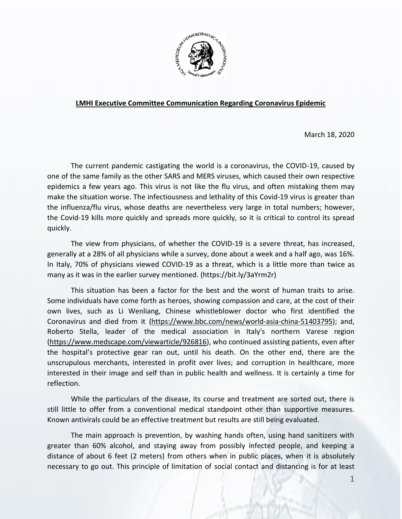

## **LMHI Executive Committee Communication Regarding Coronavirus Epidemic**

March 18, 2020

The current pandemic castigating the world is a coronavirus, the COVID-19, caused by one of the same family as the other SARS and MERS viruses, which caused their own respective epidemics a few years ago. This virus is not like the flu virus, and often mistaking them may make the situation worse. The infectiousness and lethality of this Covid-19 virus is greater than the influenza/flu virus, whose deaths are nevertheless very large in total numbers; however, the Covid-19 kills more quickly and spreads more quickly, so it is critical to control its spread quickly.

The view from physicians, of whether the COVID-19 is a severe threat, has increased, generally at a 28% of all physicians while a survey, done about a week and a half ago, was 16%. In Italy, 70% of physicians viewed COVID-19 as a threat, which is a little more than twice as many as it was in the earlier survey mentioned. (https://bit.ly/3aYrm2r)

This situation has been a factor for the best and the worst of human traits to arise. Some individuals have come forth as heroes, showing compassion and care, at the cost of their own lives, such as Li Wenliang, Chinese whistleblower doctor who first identified the Coronavirus and died from it [\(https://www.bbc.com/news/world-asia-china-51403795\)](https://www.bbc.com/news/world-asia-china-51403795); and, Roberto Stella, leader of the medical association in Italy's northern Varese region [\(https://www.medscape.com/viewarticle/926816\)](https://www.medscape.com/viewarticle/926816), who continued assisting patients, even after the hospital's protective gear ran out, until his death. On the other end, there are the unscrupulous merchants, interested in profit over lives; and corruption in healthcare, more interested in their image and self than in public health and wellness. It is certainly a time for reflection.

While the particulars of the disease, its course and treatment are sorted out, there is still little to offer from a conventional medical standpoint other than supportive measures. Known antivirals could be an effective treatment but results are still being evaluated.

The main approach is prevention, by washing hands often, using hand sanitizers with greater than 60% alcohol, and staying away from possibly infected people, and keeping a distance of about 6 feet (2 meters) from others when in public places, when it is absolutely necessary to go out. This principle of limitation of social contact and distancing is for at least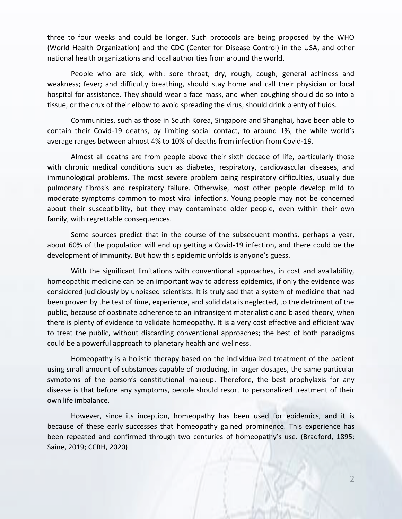three to four weeks and could be longer. Such protocols are being proposed by the WHO (World Health Organization) and the CDC (Center for Disease Control) in the USA, and other national health organizations and local authorities from around the world.

People who are sick, with: sore throat; dry, rough, cough; general achiness and weakness; fever; and difficulty breathing, should stay home and call their physician or local hospital for assistance. They should wear a face mask, and when coughing should do so into a tissue, or the crux of their elbow to avoid spreading the virus; should drink plenty of fluids.

Communities, such as those in South Korea, Singapore and Shanghai, have been able to contain their Covid-19 deaths, by limiting social contact, to around 1%, the while world's average ranges between almost 4% to 10% of deaths from infection from Covid-19.

Almost all deaths are from people above their sixth decade of life, particularly those with chronic medical conditions such as diabetes, respiratory, cardiovascular diseases, and immunological problems. The most severe problem being respiratory difficulties, usually due pulmonary fibrosis and respiratory failure. Otherwise, most other people develop mild to moderate symptoms common to most viral infections. Young people may not be concerned about their susceptibility, but they may contaminate older people, even within their own family, with regrettable consequences.

Some sources predict that in the course of the subsequent months, perhaps a year, about 60% of the population will end up getting a Covid-19 infection, and there could be the development of immunity. But how this epidemic unfolds is anyone's guess.

With the significant limitations with conventional approaches, in cost and availability, homeopathic medicine can be an important way to address epidemics, if only the evidence was considered judiciously by unbiased scientists. It is truly sad that a system of medicine that had been proven by the test of time, experience, and solid data is neglected, to the detriment of the public, because of obstinate adherence to an intransigent materialistic and biased theory, when there is plenty of evidence to validate homeopathy. It is a very cost effective and efficient way to treat the public, without discarding conventional approaches; the best of both paradigms could be a powerful approach to planetary health and wellness.

Homeopathy is a holistic therapy based on the individualized treatment of the patient using small amount of substances capable of producing, in larger dosages, the same particular symptoms of the person's constitutional makeup. Therefore, the best prophylaxis for any disease is that before any symptoms, people should resort to personalized treatment of their own life imbalance.

However, since its inception, homeopathy has been used for epidemics, and it is because of these early successes that homeopathy gained prominence. This experience has been repeated and confirmed through two centuries of homeopathy's use. (Bradford, 1895; Saine, 2019; CCRH, 2020)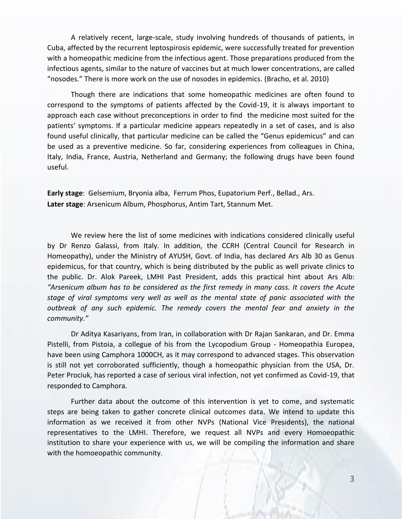A relatively recent, large-scale, study involving hundreds of thousands of patients, in Cuba, affected by the recurrent leptospirosis epidemic, were successfully treated for prevention with a homeopathic medicine from the infectious agent. Those preparations produced from the infectious agents, similar to the nature of vaccines but at much lower concentrations, are called "nosodes." There is more work on the use of nosodes in epidemics. (Bracho, et al. 2010)

Though there are indications that some homeopathic medicines are often found to correspond to the symptoms of patients affected by the Covid-19, it is always important to approach each case without preconceptions in order to find the medicine most suited for the patients' symptoms. If a particular medicine appears repeatedly in a set of cases, and is also found useful clinically, that particular medicine can be called the "Genus epidemicus" and can be used as a preventive medicine. So far, considering experiences from colleagues in China, Italy, India, France, Austria, Netherland and Germany; the following drugs have been found useful.

**Early stage**: Gelsemium, Bryonia alba, Ferrum Phos, Eupatorium Perf., Bellad., Ars. **Later stage**: Arsenicum Album, Phosphorus, Antim Tart, Stannum Met.

We review here the list of some medicines with indications considered clinically useful by Dr Renzo Galassi, from Italy. In addition, the CCRH (Central Council for Research in Homeopathy), under the Ministry of AYUSH, Govt. of India, has declared Ars Alb 30 as Genus epidemicus, for that country, which is being distributed by the public as well private clinics to the public. Dr. Alok Pareek, LMHI Past President, adds this practical hint about Ars Alb: *"Arsenicum album has to be considered as the first remedy in many cass. It covers the Acute stage of viral symptoms very well as well as the mental state of panic associated with the outbreak of any such epidemic. The remedy covers the mental fear and anxiety in the community."*

Dr Aditya Kasariyans, from Iran, in collaboration with Dr Rajan Sankaran, and Dr. Emma Pistelli, from Pistoia, a collegue of his from the Lycopodium Group - Homeopathia Europea, have been using Camphora 1000CH, as it may correspond to advanced stages. This observation is still not yet corroborated sufficiently, though a homeopathic physician from the USA, Dr. Peter Prociuk, has reported a case of serious viral infection, not yet confirmed as Covid-19, that responded to Camphora.

Further data about the outcome of this intervention is yet to come, and systematic steps are being taken to gather concrete clinical outcomes data. We intend to update this information as we received it from other NVPs (National Vice Presidents), the national representatives to the LMHI. Therefore, we request all NVPs and every Homoeopathic institution to share your experience with us, we will be compiling the information and share with the homoeopathic community.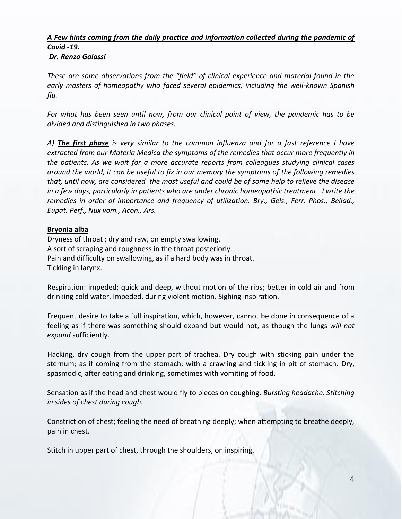# *A Few hints coming from the daily practice and information collected during the pandemic of Covid -19.*

# *Dr. Renzo Galassi*

*These are some observations from the "field" of clinical experience and material found in the early masters of homeopathy who faced several epidemics, including the well-known Spanish flu.* 

*For what has been seen until now, from our clinical point of view, the pandemic has to be divided and distinguished in two phases.* 

*A) The first phase is very similar to the common influenza and for a fast reference I have extracted from our Materia Medica the symptoms of the remedies that occur more frequently in the patients. As we wait for a more accurate reports from colleagues studying clinical cases around the world, it can be useful to fix in our memory the symptoms of the following remedies that, until now, are considered the most useful and could be of some help to relieve the disease in a few days, particularly in patients who are under chronic homeopathic treatment. I write the remedies in order of importance and frequency of utilization. Bry., Gels., Ferr. Phos., Bellad., Eupat. Perf., Nux vom., Acon., Ars.*

## **Bryonia alba**

Dryness of throat ; dry and raw, on empty swallowing. A sort of scraping and roughness in the throat posteriorly. Pain and difficulty on swallowing, as if a hard body was in throat. Tickling in larynx.

Respiration: impeded; quick and deep, without motion of the ribs; better in cold air and from drinking cold water. Impeded, during violent motion. Sighing inspiration.

Frequent desire to take a full inspiration, which, however, cannot be done in consequence of a feeling as if there was something should expand but would not, as though the lungs *will not expand* sufficiently.

Hacking, dry cough from the upper part of trachea. Dry cough with sticking pain under the sternum; as if coming from the stomach; with a crawling and tickling in pit of stomach. Dry, spasmodic, after eating and drinking, sometimes with vomiting of food.

Sensation as if the head and chest would fly to pieces on coughing. *Bursting headache. Stitching in sides of chest during cough.*

Constriction of chest; feeling the need of breathing deeply; when attempting to breathe deeply, pain in chest.

Stitch in upper part of chest, through the shoulders, on inspiring.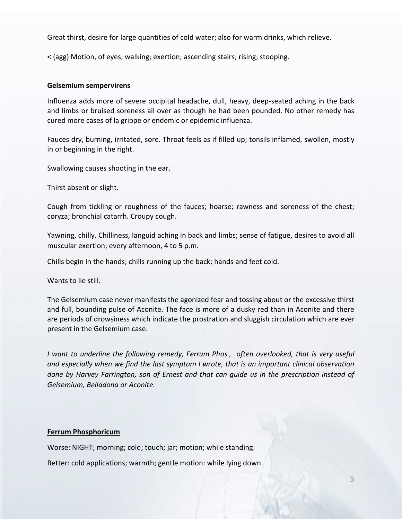Great thirst, desire for large quantities of cold water; also for warm drinks, which relieve.

< (agg) Motion, of eyes; walking; exertion; ascending stairs; rising; stooping.

#### **Gelsemium sempervirens**

Influenza adds more of severe occipital headache, dull, heavy, deep-seated aching in the back and limbs or bruised soreness all over as though he had been pounded. No other remedy has cured more cases of la grippe or endemic or epidemic influenza.

Fauces dry, burning, irritated, sore. Throat feels as if filled up; tonsils inflamed, swollen, mostly in or beginning in the right.

Swallowing causes shooting in the ear.

Thirst absent or slight.

Cough from tickling or roughness of the fauces; hoarse; rawness and soreness of the chest; coryza; bronchial catarrh. Croupy cough.

Yawning, chilly. Chilliness, languid aching in back and limbs; sense of fatigue, desires to avoid all muscular exertion; every afternoon, 4 to 5 p.m.

Chills begin in the hands; chills running up the back; hands and feet cold.

Wants to lie still.

The Gelsemium case never manifests the agonized fear and tossing about or the excessive thirst and full, bounding pulse of Aconite. The face is more of a dusky red than in Aconite and there are periods of drowsiness which indicate the prostration and sluggish circulation which are ever present in the Gelsemium case.

*I* want to underline the following remedy, Ferrum Phos., often overlooked, that is very useful *and especially when we find the last symptom I wrote, that is an important clinical observation done by Harvey Farrington, son of Ernest and that can guide us in the prescription instead of Gelsemium, Belladona or Aconite.*

## **Ferrum Phosphoricum**

Worse: NIGHT; morning; cold; touch; jar; motion; while standing.

Better: cold applications; warmth; gentle motion: while lying down.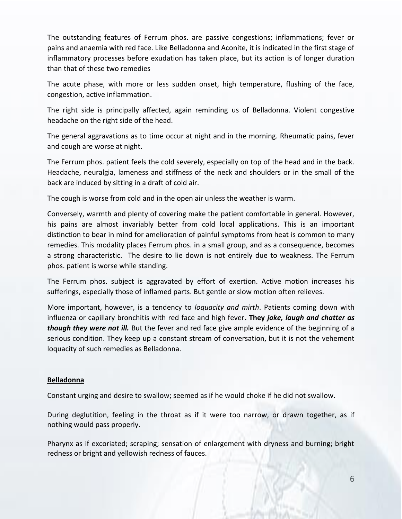The outstanding features of Ferrum phos. are passive congestions; inflammations; fever or pains and anaemia with red face. Like Belladonna and Aconite, it is indicated in the first stage of inflammatory processes before exudation has taken place, but its action is of longer duration than that of these two remedies

The acute phase, with more or less sudden onset, high temperature, flushing of the face, congestion, active inflammation.

The right side is principally affected, again reminding us of Belladonna. Violent congestive headache on the right side of the head.

The general aggravations as to time occur at night and in the morning. Rheumatic pains, fever and cough are worse at night.

The Ferrum phos. patient feels the cold severely, especially on top of the head and in the back. Headache, neuralgia, lameness and stiffness of the neck and shoulders or in the small of the back are induced by sitting in a draft of cold air.

The cough is worse from cold and in the open air unless the weather is warm.

Conversely, warmth and plenty of covering make the patient comfortable in general. However, his pains are almost invariably better from cold local applications. This is an important distinction to bear in mind for amelioration of painful symptoms from heat is common to many remedies. This modality places Ferrum phos. in a small group, and as a consequence, becomes a strong characteristic. The desire to lie down is not entirely due to weakness. The Ferrum phos. patient is worse while standing.

The Ferrum phos. subject is aggravated by effort of exertion. Active motion increases his sufferings, especially those of inflamed parts. But gentle or slow motion often relieves.

More important, however, is a tendency to *loquacity and mirth*. Patients coming down with influenza or capillary bronchitis with red face and high fever**. They** *joke, laugh and chatter as though they were not ill.* But the fever and red face give ample evidence of the beginning of a serious condition. They keep up a constant stream of conversation, but it is not the vehement loquacity of such remedies as Belladonna.

### **Belladonna**

Constant urging and desire to swallow; seemed as if he would choke if he did not swallow.

During deglutition, feeling in the throat as if it were too narrow, or drawn together, as if nothing would pass properly.

Pharynx as if excoriated; scraping; sensation of enlargement with dryness and burning; bright redness or bright and yellowish redness of fauces.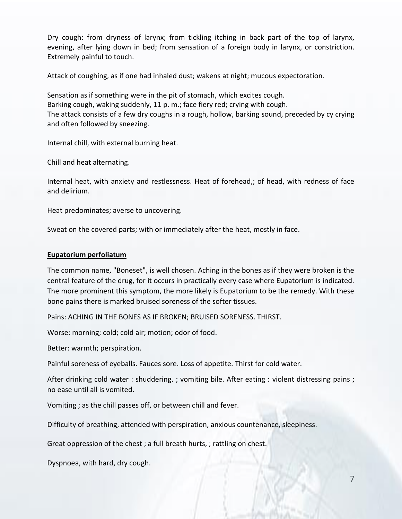Dry cough: from dryness of larynx; from tickling itching in back part of the top of larynx, evening, after lying down in bed; from sensation of a foreign body in larynx, or constriction. Extremely painful to touch.

Attack of coughing, as if one had inhaled dust; wakens at night; mucous expectoration.

Sensation as if something were in the pit of stomach, which excites cough. Barking cough, waking suddenly, 11 p. m.; face fiery red; crying with cough. The attack consists of a few dry coughs in a rough, hollow, barking sound, preceded by cy crying and often followed by sneezing.

Internal chill, with external burning heat.

Chill and heat alternating.

Internal heat, with anxiety and restlessness. Heat of forehead,; of head, with redness of face and delirium.

Heat predominates; averse to uncovering.

Sweat on the covered parts; with or immediately after the heat, mostly in face.

### **Eupatorium perfoliatum**

The common name, "Boneset", is well chosen. Aching in the bones as if they were broken is the central feature of the drug, for it occurs in practically every case where Eupatorium is indicated. The more prominent this symptom, the more likely is Eupatorium to be the remedy. With these bone pains there is marked bruised soreness of the softer tissues.

Pains: ACHING IN THE BONES AS IF BROKEN; BRUISED SORENESS. THIRST.

Worse: morning; cold; cold air; motion; odor of food.

Better: warmth; perspiration.

Painful soreness of eyeballs. Fauces sore. Loss of appetite. Thirst for cold water.

After drinking cold water : shuddering. ; vomiting bile. After eating : violent distressing pains ; no ease until all is vomited.

Vomiting ; as the chill passes off, or between chill and fever.

Difficulty of breathing, attended with perspiration, anxious countenance, sleepiness.

Great oppression of the chest ; a full breath hurts, ; rattling on chest.

Dyspnoea, with hard, dry cough.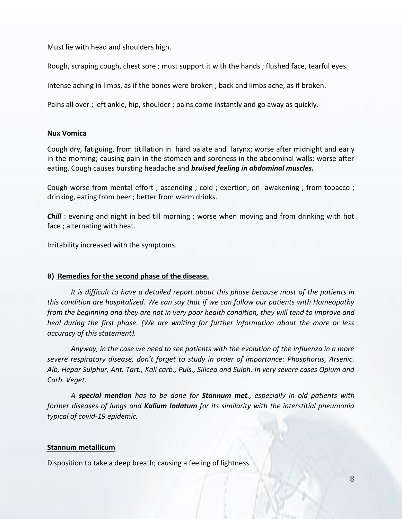Must lie with head and shoulders high.

Rough, scraping cough, chest sore ; must support it with the hands ; flushed face, tearful eyes.

Intense aching in limbs, as if the bones were broken ; back and limbs ache, as if broken.

Pains all over ; left ankle, hip, shoulder ; pains come instantly and go away as quickly.

### **Nux Vomica**

Cough dry, fatiguing, from titillation in hard palate and larynx; worse after midnight and early in the morning; causing pain in the stomach and soreness in the abdominal walls; worse after eating. Cough causes bursting headache and *bruised feeling in abdominal muscles.*

Cough worse from mental effort ; ascending ; cold ; exertion; on awakening ; from tobacco ; drinking, eating from beer ; better from warm drinks.

*Chill* : evening and night in bed till morning ; worse when moving and from drinking with hot face ; alternating with heat.

Irritability increased with the symptoms.

## **B) Remedies for the second phase of the disease.**

*It is difficult to have a detailed report about this phase because most of the patients in this condition are hospitalized. We can say that if we can follow our patients with Homeopathy from the beginning and they are not in very poor health condition, they will tend to improve and heal during the first phase. (We are waiting for further information about the more or less accuracy of this statement).* 

*Anyway, in the case we need to see patients with the evolution of the influenza in a more severe respiratory disease, don't forget to study in order of importance: Phosphorus, Arsenic. Alb, Hepar Sulphur, Ant. Tart., Kali carb., Puls., Silicea and Sulph. In very severe cases Opium and Carb. Veget.*

*A special mention has to be done for Stannum met., especially in old patients with former diseases of lungs and Kalium Iodatum for its similarity with the interstitial pneumonia typical of covid-19 epidemic.*

### **Stannum metallicum**

Disposition to take a deep breath; causing a feeling of lightness.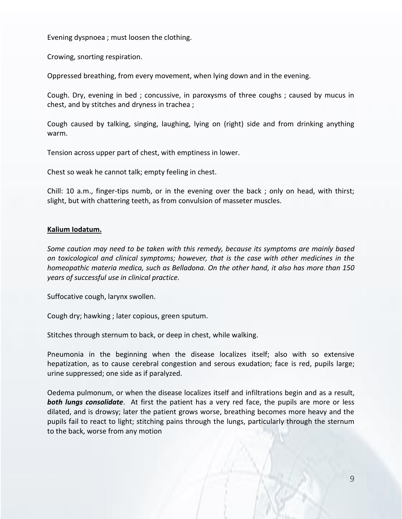Evening dyspnoea ; must loosen the clothing.

Crowing, snorting respiration.

Oppressed breathing, from every movement, when lying down and in the evening.

Cough. Dry, evening in bed ; concussive, in paroxysms of three coughs ; caused by mucus in chest, and by stitches and dryness in trachea ;

Cough caused by talking, singing, laughing, lying on (right) side and from drinking anything warm.

Tension across upper part of chest, with emptiness in lower.

Chest so weak he cannot talk; empty feeling in chest.

Chill: 10 a.m., finger-tips numb, or in the evening over the back ; only on head, with thirst; slight, but with chattering teeth, as from convulsion of masseter muscles.

#### **Kalium Iodatum.**

*Some caution may need to be taken with this remedy, because its symptoms are mainly based on toxicological and clinical symptoms; however, that is the case with other medicines in the homeopathic materia medica, such as Belladona. On the other hand, it also has more than 150 years of successful use in clinical practice.*

Suffocative cough, larynx swollen.

Cough dry; hawking ; later copious, green sputum.

Stitches through sternum to back, or deep in chest, while walking.

Pneumonia in the beginning when the disease localizes itself; also with so extensive hepatization, as to cause cerebral congestion and serous exudation; face is red, pupils large; urine suppressed; one side as if paralyzed.

Oedema pulmonum, or when the disease localizes itself and infiltrations begin and as a result, *both lungs consolidate*. At first the patient has a very red face, the pupils are more or less dilated, and is drowsy; later the patient grows worse, breathing becomes more heavy and the pupils fail to react to light; stitching pains through the lungs, particularly through the sternum to the back, worse from any motion